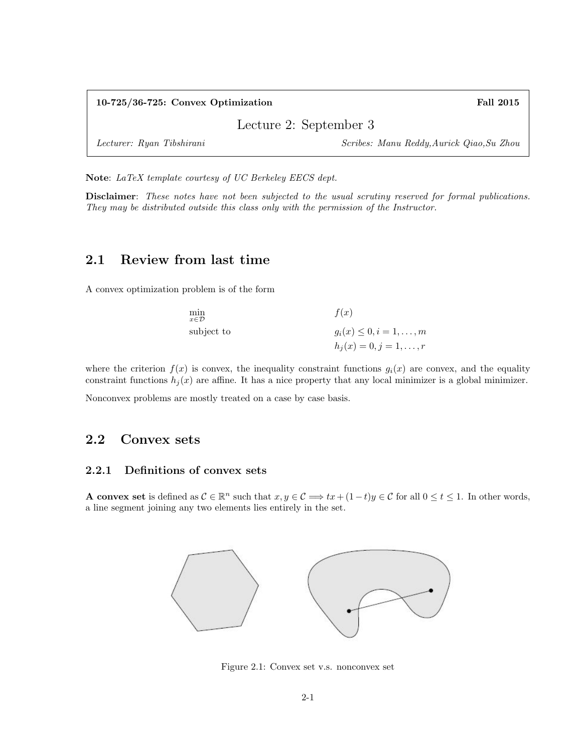| $10-725/36-725$ : Convex Optimization | <b>Fall 2015</b>                          |
|---------------------------------------|-------------------------------------------|
|                                       | Lecture 2: September 3                    |
| Lecturer: Ryan Tibshirani             | Scribes: Manu Reddy, Aurick Qiao, Su Zhou |

Note: LaTeX template courtesy of UC Berkeley EECS dept.

Disclaimer: These notes have not been subjected to the usual scrutiny reserved for formal publications. They may be distributed outside this class only with the permission of the Instructor.

# 2.1 Review from last time

A convex optimization problem is of the form

| min<br>$x \in \mathcal{D}$ | f(x)                              |
|----------------------------|-----------------------------------|
| subject to                 | $g_i(x) \leq 0, i = 1, \ldots, m$ |
|                            | $h_j(x) = 0, j = 1, \ldots, r$    |

where the criterion  $f(x)$  is convex, the inequality constraint functions  $g_i(x)$  are convex, and the equality constraint functions  $h_j(x)$  are affine. It has a nice property that any local minimizer is a global minimizer.

Nonconvex problems are mostly treated on a case by case basis.

# 2.2 Convex sets

## 2.2.1 Definitions of convex sets

**A convex set** is defined as  $C \in \mathbb{R}^n$  such that  $x, y \in C \implies tx + (1-t)y \in C$  for all  $0 \le t \le 1$ . In other words, a line segment joining any two elements lies entirely in the set.



Figure 2.1: Convex set v.s. nonconvex set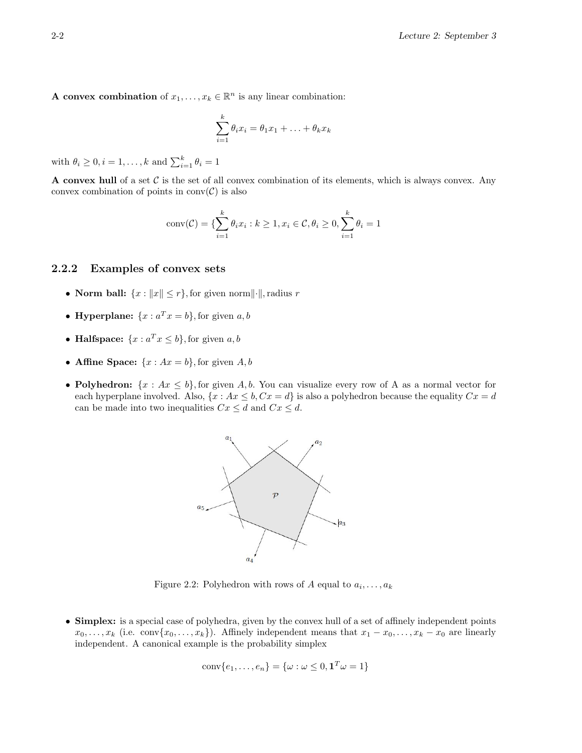A convex combination of  $x_1, \ldots, x_k \in \mathbb{R}^n$  is any linear combination:

$$
\sum_{i=1}^k \theta_i x_i = \theta_1 x_1 + \ldots + \theta_k x_k
$$

with  $\theta_i \geq 0, i = 1, \ldots, k$  and  $\sum_{i=1}^k \theta_i = 1$ 

A convex hull of a set  $\mathcal C$  is the set of all convex combination of its elements, which is always convex. Any convex combination of points in  $conv(\mathcal{C})$  is also

conv(C) = 
$$
\{\sum_{i=1}^{k} \theta_i x_i : k \ge 1, x_i \in C, \theta_i \ge 0, \sum_{i=1}^{k} \theta_i = 1\}
$$

### 2.2.2 Examples of convex sets

- Norm ball:  $\{x : ||x|| \leq r\}$ , for given norm $||\cdot||$ , radius r
- Hyperplane:  $\{x : a^T x = b\}$ , for given  $a, b$
- Halfspace:  $\{x : a^T x \leq b\}$ , for given  $a, b$
- Affine Space:  $\{x : Ax = b\}$ , for given A, b
- Polyhedron:  $\{x : Ax \leq b\}$ , for given A, b. You can visualize every row of A as a normal vector for each hyperplane involved. Also,  $\{x : Ax \leq b, Cx = d\}$  is also a polyhedron because the equality  $Cx = d$ can be made into two inequalities  $Cx \leq d$  and  $Cx \leq d$ .



Figure 2.2: Polyhedron with rows of A equal to  $a_i, \ldots, a_k$ 

• Simplex: is a special case of polyhedra, given by the convex hull of a set of affinely independent points  $x_0, \ldots, x_k$  (i.e. conv $\{x_0, \ldots, x_k\}$ ). Affinely independent means that  $x_1 - x_0, \ldots, x_k - x_0$  are linearly independent. A canonical example is the probability simplex

$$
conv\{e_1, \ldots, e_n\} = \{\omega : \omega \leq 0, \mathbf{1}^T \omega = 1\}
$$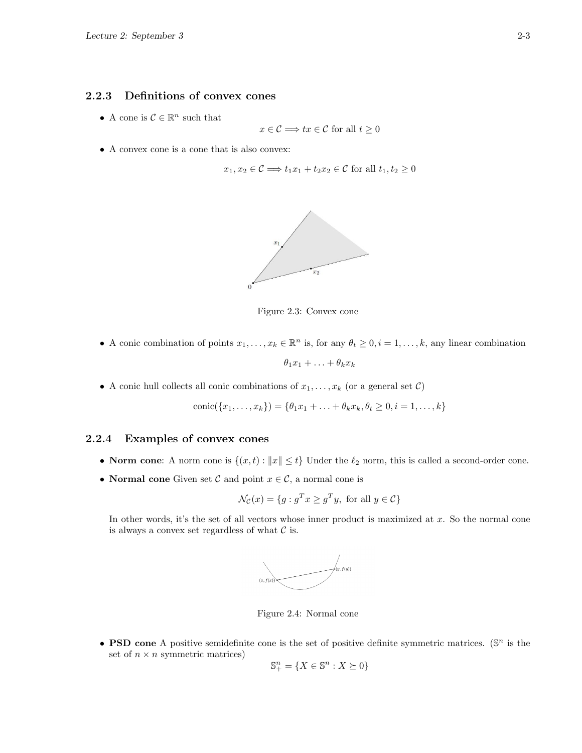## 2.2.3 Definitions of convex cones

• A cone is  $C \in \mathbb{R}^n$  such that

$$
x \in \mathcal{C} \Longrightarrow tx \in \mathcal{C} \text{ for all } t \ge 0
$$

• A convex cone is a cone that is also convex:

$$
x_1, x_2 \in \mathcal{C} \Longrightarrow t_1 x_1 + t_2 x_2 \in \mathcal{C} \text{ for all } t_1, t_2 \ge 0
$$



Figure 2.3: Convex cone

• A conic combination of points  $x_1, \ldots, x_k \in \mathbb{R}^n$  is, for any  $\theta_t \geq 0, i = 1, \ldots, k$ , any linear combination

$$
\theta_1 x_1 + \ldots + \theta_k x_k
$$

• A conic hull collects all conic combinations of  $x_1, \ldots, x_k$  (or a general set  $\mathcal{C}$ )

$$
conic({x_1,...,x_k}) = {\theta_1x_1+...+\theta_kx_k, \theta_t \ge 0, i = 1,...,k}
$$

## 2.2.4 Examples of convex cones

- Norm cone: A norm cone is  $\{(x, t) : ||x|| \le t\}$  Under the  $\ell_2$  norm, this is called a second-order cone.
- Normal cone Given set C and point  $x \in \mathcal{C}$ , a normal cone is

$$
\mathcal{N}_{\mathcal{C}}(x) = \{ g : g^T x \ge g^T y, \text{ for all } y \in \mathcal{C} \}
$$

In other words, it's the set of all vectors whose inner product is maximized at  $x$ . So the normal cone is always a convex set regardless of what  $\mathcal C$  is.



Figure 2.4: Normal cone

• **PSD cone** A positive semidefinite cone is the set of positive definite symmetric matrices. ( $\mathbb{S}^n$  is the set of  $n \times n$  symmetric matrices)

$$
\mathbb{S}^n_+ = \{ X \in \mathbb{S}^n : X \succeq 0 \}
$$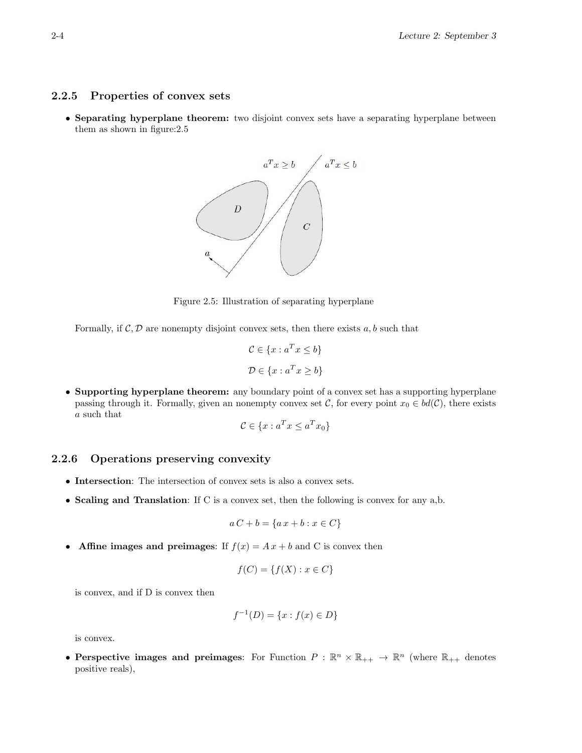## 2.2.5 Properties of convex sets

• Separating hyperplane theorem: two disjoint convex sets have a separating hyperplane between them as shown in figure:2.5



Figure 2.5: Illustration of separating hyperplane

Formally, if  $\mathcal{C}, \mathcal{D}$  are nonempty disjoint convex sets, then there exists a, b such that

$$
C \in \{x : a^T x \le b\}
$$

$$
\mathcal{D} \in \{x : a^T x \ge b\}
$$

• Supporting hyperplane theorem: any boundary point of a convex set has a supporting hyperplane passing through it. Formally, given an nonempty convex set C, for every point  $x_0 \in bd(\mathcal{C})$ , there exists a such that

$$
\mathcal{C} \in \{x : a^T x \le a^T x_0\}
$$

### 2.2.6 Operations preserving convexity

- Intersection: The intersection of convex sets is also a convex sets.
- Scaling and Translation: If C is a convex set, then the following is convex for any a,b.

$$
aC + b = \{a\,x + b : x \in C\}
$$

• Affine images and preimages: If  $f(x) = Ax + b$  and C is convex then

$$
f(C) = \{f(X) : x \in C\}
$$

is convex, and if D is convex then

$$
f^{-1}(D) = \{x : f(x) \in D\}
$$

is convex.

• Perspective images and preimages: For Function  $P : \mathbb{R}^n \times \mathbb{R}_{++} \to \mathbb{R}^n$  (where  $\mathbb{R}_{++}$  denotes positive reals),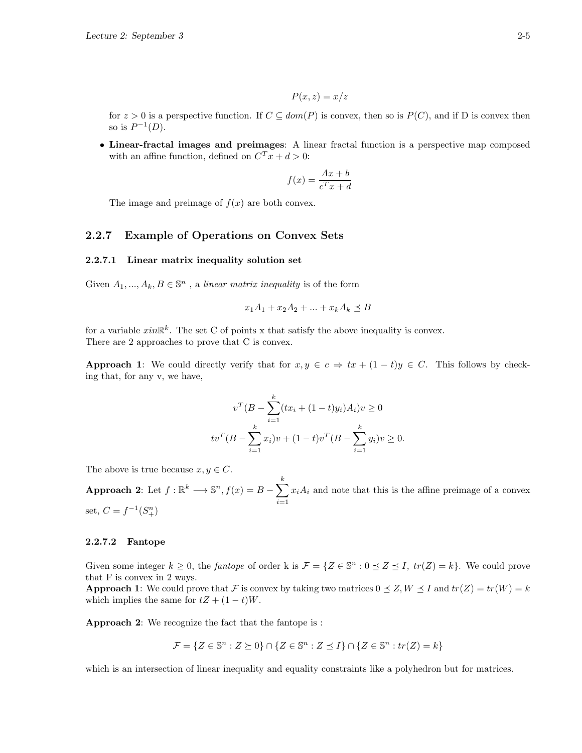$$
P(x,z) = x/z
$$

for  $z > 0$  is a perspective function. If  $C \subseteq dom(P)$  is convex, then so is  $P(C)$ , and if D is convex then so is  $P^{-1}(D)$ .

• Linear-fractal images and preimages: A linear fractal function is a perspective map composed with an affine function, defined on  $C^{T}x + d > 0$ :

$$
f(x) = \frac{Ax + b}{c^T x + d}
$$

The image and preimage of  $f(x)$  are both convex.

### 2.2.7 Example of Operations on Convex Sets

#### 2.2.7.1 Linear matrix inequality solution set

Given  $A_1, ..., A_k, B \in \mathbb{S}^n$ , a linear matrix inequality is of the form

$$
x_1A_1 + x_2A_2 + \dots + x_kA_k \preceq B
$$

for a variable  $x \in \mathbb{R}^k$ . The set C of points x that satisfy the above inequality is convex. There are 2 approaches to prove that C is convex.

**Approach 1:** We could directly verify that for  $x, y \in c \Rightarrow tx + (1-t)y \in C$ . This follows by checking that, for any v, we have,

$$
v^T (B - \sum_{i=1}^k (tx_i + (1-t)y_i) A_i) v \ge 0
$$
  

$$
tv^T (B - \sum_{i=1}^k x_i) v + (1-t)v^T (B - \sum_{i=1}^k y_i) v \ge 0.
$$

The above is true because  $x, y \in C$ .

Approach 2: Let  $f: \mathbb{R}^k \longrightarrow \mathbb{S}^n, f(x) = B - \sum_{k=1}^k f(k)$  $i=1$  $x_iA_i$  and note that this is the affine preimage of a convex set,  $C = f^{-1}(S_+^n)$ 

#### 2.2.7.2 Fantope

Given some integer  $k \geq 0$ , the *fantope* of order k is  $\mathcal{F} = \{Z \in \mathbb{S}^n : 0 \leq Z \leq I, \, tr(Z) = k\}$ . We could prove that F is convex in 2 ways.

**Approach 1:** We could prove that F is convex by taking two matrices  $0 \leq Z, W \leq I$  and  $tr(Z) = tr(W) = k$ which implies the same for  $tZ + (1-t)W$ .

Approach 2: We recognize the fact that the fantope is :

$$
\mathcal{F} = \{ Z \in \mathbb{S}^n : Z \succeq 0 \} \cap \{ Z \in \mathbb{S}^n : Z \preceq I \} \cap \{ Z \in \mathbb{S}^n : tr(Z) = k \}
$$

which is an intersection of linear inequality and equality constraints like a polyhedron but for matrices.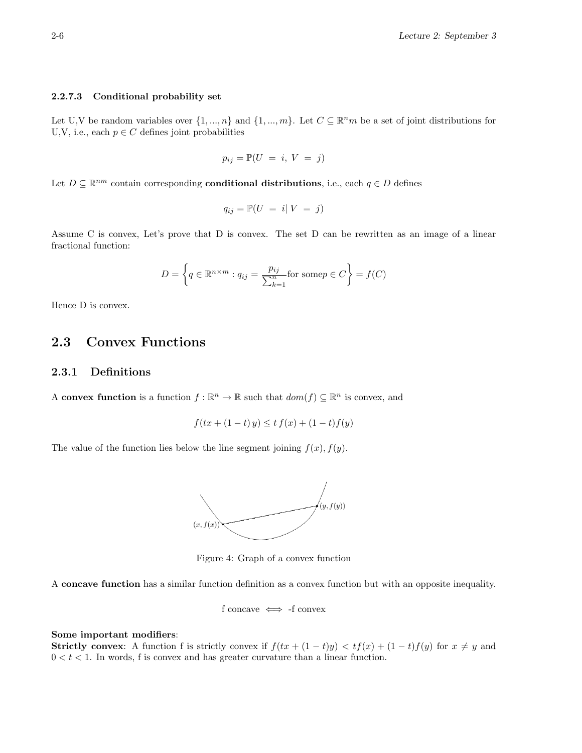#### 2.2.7.3 Conditional probability set

Let U,V be random variables over  $\{1, ..., n\}$  and  $\{1, ..., m\}$ . Let  $C \subseteq \mathbb{R}^n m$  be a set of joint distributions for U,V, i.e., each  $p \in C$  defines joint probabilities

$$
p_{ij} = \mathbb{P}(U = i, V = j)
$$

Let  $D \subseteq \mathbb{R}^{nm}$  contain corresponding **conditional distributions**, i.e., each  $q \in D$  defines

$$
q_{ij} = \mathbb{P}(U = i | V = j)
$$

Assume C is convex, Let's prove that D is convex. The set D can be rewritten as an image of a linear fractional function:

$$
D = \left\{ q \in \mathbb{R}^{n \times m} : q_{ij} = \frac{p_{ij}}{\sum_{k=1}^{n} f(x_k)} \text{ for some } p \in C \right\} = f(C)
$$

Hence D is convex.

# 2.3 Convex Functions

### 2.3.1 Definitions

A convex function is a function  $f : \mathbb{R}^n \to \mathbb{R}$  such that  $dom(f) \subseteq \mathbb{R}^n$  is convex, and

$$
f(tx + (1 - t)y) \leq tf(x) + (1 - t)f(y)
$$

The value of the function lies below the line segment joining  $f(x)$ ,  $f(y)$ .



Figure 4: Graph of a convex function

A concave function has a similar function definition as a convex function but with an opposite inequality.

f concave  $\iff$  -f convex

#### Some important modifiers:

Strictly convex: A function f is strictly convex if  $f(tx + (1-t)y) < tf(x) + (1-t)f(y)$  for  $x \neq y$  and  $0 < t < 1$ . In words, f is convex and has greater curvature than a linear function.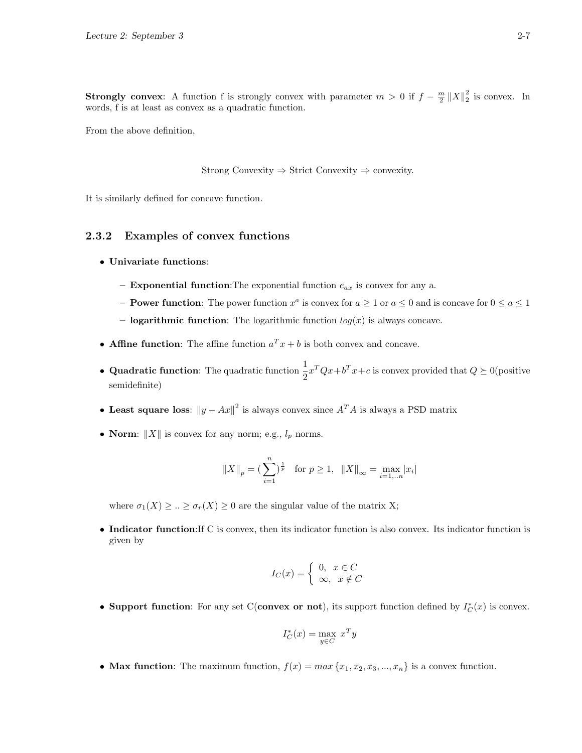**Strongly convex**: A function f is strongly convex with parameter  $m > 0$  if  $f - \frac{m}{2} ||X||_2^2$  is convex. In words, f is at least as convex as a quadratic function.

From the above definition,

Strong Convexity  $\Rightarrow$  Strict Convexity  $\Rightarrow$  convexity.

It is similarly defined for concave function.

## 2.3.2 Examples of convex functions

- Univariate functions:
	- **Exponential function:** The exponential function  $e_{ax}$  is convex for any a.
	- **Power function:** The power function  $x^a$  is convex for  $a \ge 1$  or  $a \le 0$  and is concave for  $0 \le a \le 1$ – **logarithmic function**: The logarithmic function  $log(x)$  is always concave.
- Affine function: The affine function  $a^T x + b$  is both convex and concave.
- Quadratic function: The quadratic function  $\frac{1}{2}x^TQx + b^Tx + c$  is convex provided that  $Q \succeq 0$  (positive semidefinite)
- Least square loss:  $||y Ax||^2$  is always convex since  $A^T A$  is always a PSD matrix
- Norm:  $||X||$  is convex for any norm; e.g.,  $l_p$  norms.

$$
||X||_p = \left(\sum_{i=1}^n\right)^{\frac{1}{p}}
$$
 for  $p \ge 1$ ,  $||X||_{\infty} = \max_{i=1...n} |x_i|$ 

where  $\sigma_1(X) \geq ... \geq \sigma_r(X) \geq 0$  are the singular value of the matrix X;

• Indicator function:If C is convex, then its indicator function is also convex. Its indicator function is given by

$$
I_C(x) = \begin{cases} 0, & x \in C \\ \infty, & x \notin C \end{cases}
$$

• Support function: For any set C(convex or not), its support function defined by  $I_C^*(x)$  is convex.

$$
I_C^*(x) = \max_{y \in C} x^T y
$$

• Max function: The maximum function,  $f(x) = max\{x_1, x_2, x_3, ..., x_n\}$  is a convex function.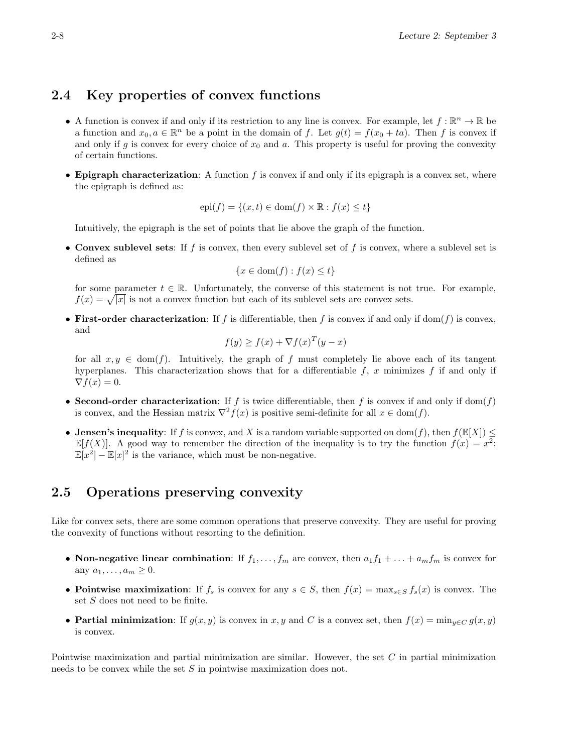# 2.4 Key properties of convex functions

- A function is convex if and only if its restriction to any line is convex. For example, let  $f : \mathbb{R}^n \to \mathbb{R}$  be a function and  $x_0, a \in \mathbb{R}^n$  be a point in the domain of f. Let  $g(t) = f(x_0 + ta)$ . Then f is convex if and only if g is convex for every choice of  $x_0$  and a. This property is useful for proving the convexity of certain functions.
- Epigraph characterization: A function f is convex if and only if its epigraph is a convex set, where the epigraph is defined as:

$$
epi(f) = \{(x, t) \in dom(f) \times \mathbb{R} : f(x) \le t\}
$$

Intuitively, the epigraph is the set of points that lie above the graph of the function.

• Convex sublevel sets: If f is convex, then every sublevel set of f is convex, where a sublevel set is defined as

$$
\{x \in \text{dom}(f) : f(x) \le t\}
$$

for some parameter  $t \in \mathbb{R}$ . Unfortunately, the converse of this statement is not true. For example,  $f(x) = \sqrt{|x|}$  is not a convex function but each of its sublevel sets are convex sets.

• First-order characterization: If f is differentiable, then f is convex if and only if dom(f) is convex, and

$$
f(y) \ge f(x) + \nabla f(x)^T (y - x)
$$

for all  $x, y \in \text{dom}(f)$ . Intuitively, the graph of f must completely lie above each of its tangent hyperplanes. This characterization shows that for a differentiable  $f$ , x minimizes  $f$  if and only if  $\nabla f(x) = 0.$ 

- Second-order characterization: If f is twice differentiable, then f is convex if and only if dom(f) is convex, and the Hessian matrix  $\nabla^2 f(x)$  is positive semi-definite for all  $x \in \text{dom}(f)$ .
- Jensen's inequality: If f is convex, and X is a random variable supported on dom(f), then  $f(\mathbb{E}[X]) \leq$  $\mathbb{E}[f(X)]$ . A good way to remember the direction of the inequality is to try the function  $f(x) = x^2$ .  $\mathbb{E}[x^2] - \mathbb{E}[x]^2$  is the variance, which must be non-negative.

# 2.5 Operations preserving convexity

Like for convex sets, there are some common operations that preserve convexity. They are useful for proving the convexity of functions without resorting to the definition.

- Non-negative linear combination: If  $f_1, \ldots, f_m$  are convex, then  $a_1 f_1 + \ldots + a_m f_m$  is convex for any  $a_1, \ldots, a_m \geq 0$ .
- Pointwise maximization: If  $f_s$  is convex for any  $s \in S$ , then  $f(x) = \max_{s \in S} f_s(x)$  is convex. The set S does not need to be finite.
- Partial minimization: If  $g(x, y)$  is convex in x, y and C is a convex set, then  $f(x) = \min_{y \in C} g(x, y)$ is convex.

Pointwise maximization and partial minimization are similar. However, the set C in partial minimization needs to be convex while the set S in pointwise maximization does not.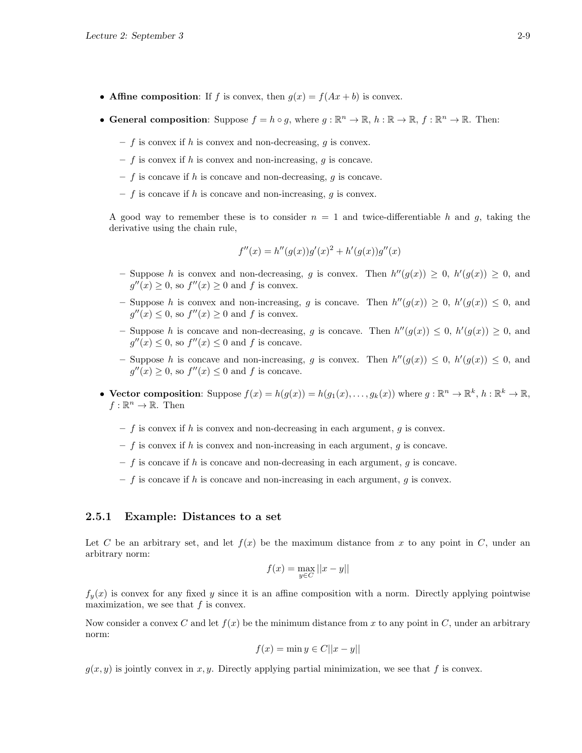- Affine composition: If f is convex, then  $g(x) = f(Ax + b)$  is convex.
- General composition: Suppose  $f = h \circ g$ , where  $g : \mathbb{R}^n \to \mathbb{R}$ ,  $h : \mathbb{R} \to \mathbb{R}$ ,  $f : \mathbb{R}^n \to \mathbb{R}$ . Then:
	- $f$  is convex if h is convex and non-decreasing, g is convex.
	- $f$  is convex if h is convex and non-increasing, g is concave.
	- $f$  is concave if h is concave and non-decreasing, g is concave.
	- $f$  is concave if h is concave and non-increasing, q is convex.

A good way to remember these is to consider  $n = 1$  and twice-differentiable h and g, taking the derivative using the chain rule,

$$
f''(x) = h''(g(x))g'(x)^{2} + h'(g(x))g''(x)
$$

- Suppose h is convex and non-decreasing, g is convex. Then  $h''(g(x)) \geq 0$ ,  $h'(g(x)) \geq 0$ , and  $g''(x) \geq 0$ , so  $f''(x) \geq 0$  and f is convex.
- Suppose h is convex and non-increasing, g is concave. Then  $h''(g(x)) \geq 0$ ,  $h'(g(x)) \leq 0$ , and  $g''(x) \leq 0$ , so  $f''(x) \geq 0$  and f is convex.
- Suppose h is concave and non-decreasing, g is concave. Then  $h''(g(x)) \leq 0$ ,  $h'(g(x)) \geq 0$ , and  $g''(x) \leq 0$ , so  $f''(x) \leq 0$  and f is concave.
- Suppose h is concave and non-increasing, g is convex. Then  $h''(g(x)) \leq 0$ ,  $h'(g(x)) \leq 0$ , and  $g''(x) \geq 0$ , so  $f''(x) \leq 0$  and f is concave.
- Vector composition: Suppose  $f(x) = h(g(x)) = h(g_1(x), \ldots, g_k(x))$  where  $g: \mathbb{R}^n \to \mathbb{R}^k$ ,  $h: \mathbb{R}^k \to \mathbb{R}$ ,  $f:\mathbb{R}^n\to\mathbb{R}$ . Then
	- $f$  is convex if h is convex and non-decreasing in each argument, g is convex.
	- $f$  is convex if h is convex and non-increasing in each argument, g is concave.
	- $f$  is concave if h is concave and non-decreasing in each argument, g is concave.
	- $f$  is concave if h is concave and non-increasing in each argument, g is convex.

### 2.5.1 Example: Distances to a set

Let C be an arbitrary set, and let  $f(x)$  be the maximum distance from x to any point in C, under an arbitrary norm:

$$
f(x) = \max_{y \in C} ||x - y||
$$

 $f_y(x)$  is convex for any fixed y since it is an affine composition with a norm. Directly applying pointwise maximization, we see that  $f$  is convex.

Now consider a convex C and let  $f(x)$  be the minimum distance from x to any point in C, under an arbitrary norm:

$$
f(x) = \min y \in C||x - y||
$$

 $g(x, y)$  is jointly convex in x, y. Directly applying partial minimization, we see that f is convex.